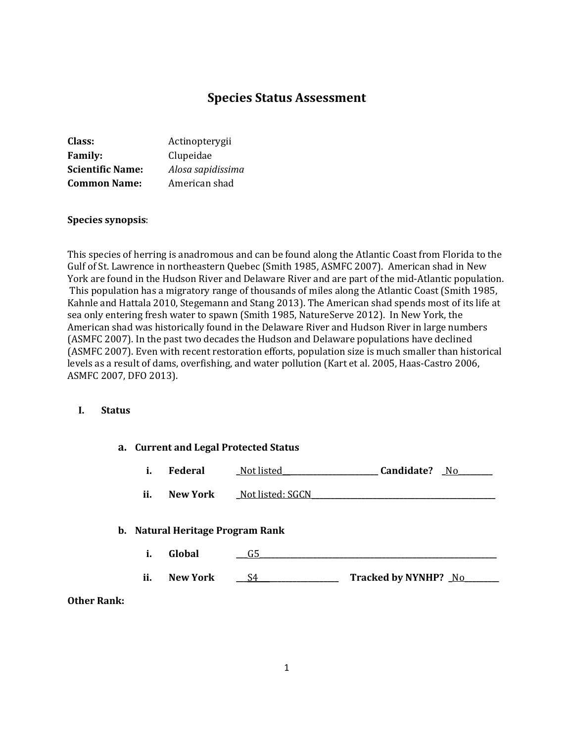# **Species Status Assessment**

| Class:                  | Actinopterygii    |
|-------------------------|-------------------|
| <b>Family:</b>          | Clupeidae         |
| <b>Scientific Name:</b> | Alosa sapidissima |
| <b>Common Name:</b>     | American shad     |

#### **Species synopsis**:

This species of herring is anadromous and can be found along the Atlantic Coast from Florida to the Gulf of St. Lawrence in northeastern Quebec (Smith 1985, ASMFC 2007). American shad in New York are found in the Hudson River and Delaware River and are part of the mid-Atlantic population. This population has a migratory range of thousands of miles along the Atlantic Coast (Smith 1985, Kahnle and Hattala 2010, Stegemann and Stang 2013). The American shad spends most of its life at sea only entering fresh water to spawn (Smith 1985, NatureServe 2012). In New York, the American shad was historically found in the Delaware River and Hudson River in large numbers (ASMFC 2007). In the past two decades the Hudson and Delaware populations have declined (ASMFC 2007). Even with recent restoration efforts, population size is much smaller than historical levels as a result of dams, overfishing, and water pollution (Kart et al. 2005, Haas-Castro 2006, ASMFC 2007, DFO 2013).

#### **I. Status**

| i.  | <b>Federal</b>                   | Not listed       | Candidate? No |
|-----|----------------------------------|------------------|---------------|
| ii. | <b>New York</b>                  | Not listed: SGCN |               |
|     |                                  |                  |               |
|     | b. Natural Heritage Program Rank |                  |               |
| i.  | Global                           | G5               |               |

#### **Other Rank:**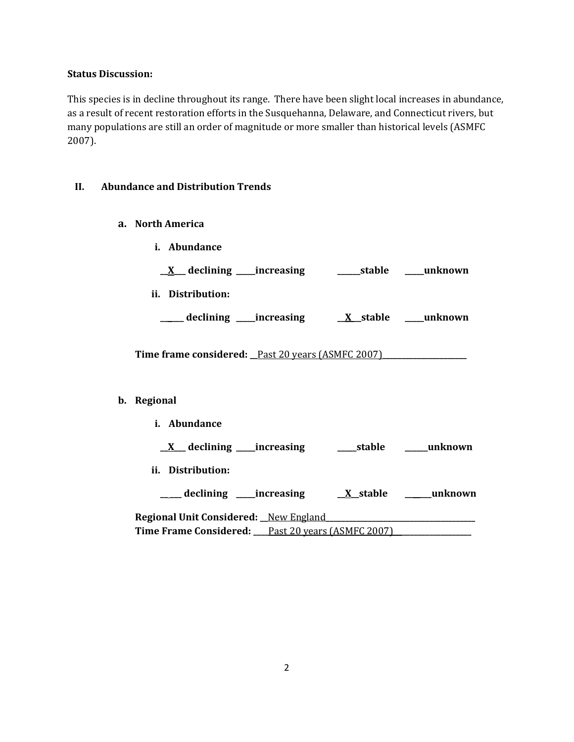#### **Status Discussion:**

This species is in decline throughout its range. There have been slight local increases in abundance, as a result of recent restoration efforts in the Susquehanna, Delaware, and Connecticut rivers, but many populations are still an order of magnitude or more smaller than historical levels (ASMFC 2007).

# **II. Abundance and Distribution Trends**

- **a. North America**
	- **i. Abundance**

| $\overline{\phantom{a}}$ | $\alpha$ declining | __increasing | stable | unknown |
|--------------------------|--------------------|--------------|--------|---------|
|--------------------------|--------------------|--------------|--------|---------|

**ii. Distribution:**

**\_\_ \_\_\_ declining \_\_\_\_\_increasing \_\_X \_\_stable \_\_\_\_\_unknown**

**Time frame considered: \_\_**Past 20 years (ASMFC 2007)**\_\_\_\_\_\_\_\_\_\_\_\_\_\_\_\_\_\_\_\_\_\_**

# **b. Regional**

**i. Abundance**

**\_\_X\_\_\_ declining \_\_\_\_\_increasing \_\_\_\_\_stable \_\_\_\_\_\_unknown ii. Distribution: \_\_ \_\_\_ declining \_\_\_\_\_increasing \_\_X\_\_stable \_\_\_\_\_\_\_unknown**

**Regional Unit Considered: \_\_**New England**\_\_\_\_\_\_\_\_\_\_\_\_\_\_\_\_\_\_\_\_\_\_\_\_\_\_\_\_\_\_\_\_\_\_\_\_\_\_\_ Time Frame Considered: \_\_\_\_**Past 20 years (ASMFC 2007) **\_\_\_\_\_\_\_\_\_\_\_\_\_\_\_\_\_\_**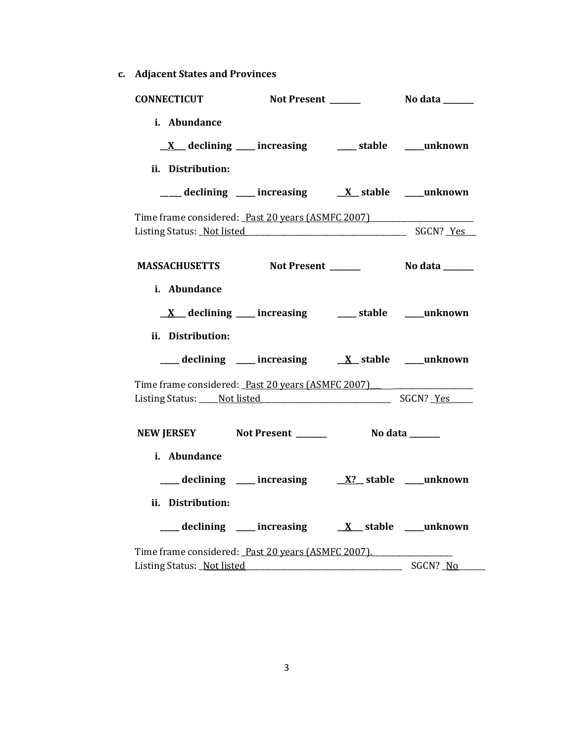**c. Adjacent States and Provinces**

| <b>CONNECTICUT</b>                                                                                                    | Not Present ______                                                                                                |                 | No data _______ |
|-----------------------------------------------------------------------------------------------------------------------|-------------------------------------------------------------------------------------------------------------------|-----------------|-----------------|
| i. Abundance<br>ii. Distribution:                                                                                     | $\underline{X}$ declining ___ increasing ___ stable ___ unknown                                                   |                 |                 |
|                                                                                                                       | ___ declining ___ increasing ___ X_ stable ___ unknown                                                            |                 |                 |
| Time frame considered: Past 20 years (ASMFC 2007)<br>Listing Status: Not listed Manual Manual Manual Manual SGCN? Yes |                                                                                                                   |                 |                 |
| MASSACHUSETTS Not Present ________ No data ______                                                                     |                                                                                                                   |                 |                 |
| i. Abundance<br>ii. Distribution:                                                                                     | $\underline{X}$ declining ___ increasing ___ stable ___ unknown                                                   |                 |                 |
|                                                                                                                       | ___ declining ___ increasing ___ X_ stable ___unknown                                                             |                 |                 |
| Time frame considered: Past 20 years (ASMFC 2007)<br>Listing Status: Not listed Manuel Corp. 2014. SGCN? Yes          |                                                                                                                   |                 |                 |
| NEW JERSEY Not Present ______                                                                                         |                                                                                                                   | No data _______ |                 |
| i. Abundance                                                                                                          | $\frac{1}{\sqrt{2}}$ declining $\frac{1}{\sqrt{2}}$ increasing $\frac{X?}{X}$ stable $\frac{1}{\sqrt{2}}$ unknown |                 |                 |
| ii. Distribution:                                                                                                     | ___ declining ___ increasing ___ $\underline{X}$ _stable ___unknown                                               |                 |                 |
| Time frame considered: Past 20 years (ASMFC 2007).                                                                    |                                                                                                                   |                 | SGCN? No        |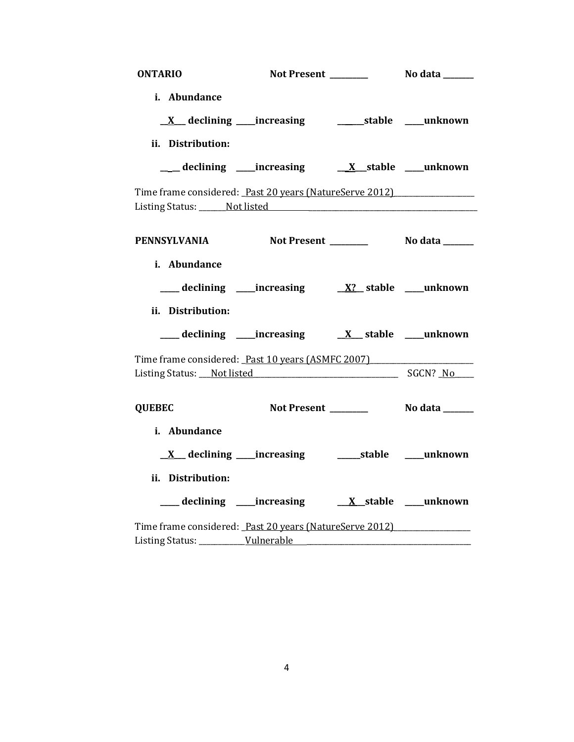| <b>ONTARIO</b>    |                                                                                                                                                                                                                                                                                           |  |
|-------------------|-------------------------------------------------------------------------------------------------------------------------------------------------------------------------------------------------------------------------------------------------------------------------------------------|--|
| i. Abundance      |                                                                                                                                                                                                                                                                                           |  |
|                   |                                                                                                                                                                                                                                                                                           |  |
| ii. Distribution: |                                                                                                                                                                                                                                                                                           |  |
|                   |                                                                                                                                                                                                                                                                                           |  |
|                   | Time frame considered: Past 20 years (NatureServe 2012)<br>Listing Status: Not listed Manual Property of the Status Control of the Manual Assembly District Oriental Property of the United Status District Oriental Property of the United Status District Oriental Property Oriental Pr |  |
|                   | PENNSYLVANIA Not Present No data ______                                                                                                                                                                                                                                                   |  |
| i. Abundance      |                                                                                                                                                                                                                                                                                           |  |
|                   | $\frac{1}{2}$ declining _____ increasing $\frac{X?}{X?}$ stable _____ unknown                                                                                                                                                                                                             |  |
| ii. Distribution: |                                                                                                                                                                                                                                                                                           |  |
|                   |                                                                                                                                                                                                                                                                                           |  |
|                   | Time frame considered: Past 10 years (ASMFC 2007)                                                                                                                                                                                                                                         |  |
|                   | Listing Status: Not listed Manuel Allen and SGCN? No Manuel Allen Board SGCN? No                                                                                                                                                                                                          |  |
| <b>QUEBEC</b>     | Not Present ___________ No data ______                                                                                                                                                                                                                                                    |  |
| i. Abundance      |                                                                                                                                                                                                                                                                                           |  |
|                   |                                                                                                                                                                                                                                                                                           |  |
| ii. Distribution: |                                                                                                                                                                                                                                                                                           |  |
|                   |                                                                                                                                                                                                                                                                                           |  |
|                   | Time frame considered: Past 20 years (NatureServe 2012)                                                                                                                                                                                                                                   |  |
|                   |                                                                                                                                                                                                                                                                                           |  |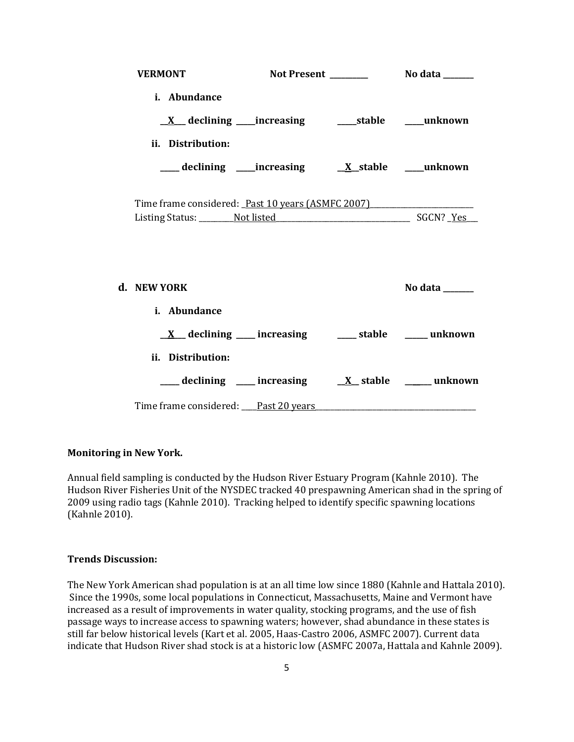| <b>VERMONT</b>                                                                                    |                                                      |         |
|---------------------------------------------------------------------------------------------------|------------------------------------------------------|---------|
| i. Abundance                                                                                      |                                                      |         |
|                                                                                                   |                                                      |         |
| ii. Distribution:                                                                                 |                                                      |         |
|                                                                                                   |                                                      |         |
| Time frame considered: Past 10 years (ASMFC 2007)                                                 |                                                      |         |
|                                                                                                   |                                                      |         |
| d. NEW YORK                                                                                       |                                                      | No data |
| i. Abundance                                                                                      |                                                      |         |
|                                                                                                   | <u>X</u> declining increasing and stable and unknown |         |
| ii. Distribution:                                                                                 |                                                      |         |
|                                                                                                   |                                                      |         |
| Time frame considered: Past 20 years Manual Processors Annual Property and Time frame considered: |                                                      |         |

#### **Monitoring in New York.**

Annual field sampling is conducted by the Hudson River Estuary Program (Kahnle 2010). The Hudson River Fisheries Unit of the NYSDEC tracked 40 prespawning American shad in the spring of 2009 using radio tags (Kahnle 2010). Tracking helped to identify specific spawning locations (Kahnle 2010).

#### **Trends Discussion:**

The New York American shad population is at an all time low since 1880 (Kahnle and Hattala 2010). Since the 1990s, some local populations in Connecticut, Massachusetts, Maine and Vermont have increased as a result of improvements in water quality, stocking programs, and the use of fish passage ways to increase access to spawning waters; however, shad abundance in these states is still far below historical levels (Kart et al. 2005, Haas-Castro 2006, ASMFC 2007). Current data indicate that Hudson River shad stock is at a historic low (ASMFC 2007a, Hattala and Kahnle 2009).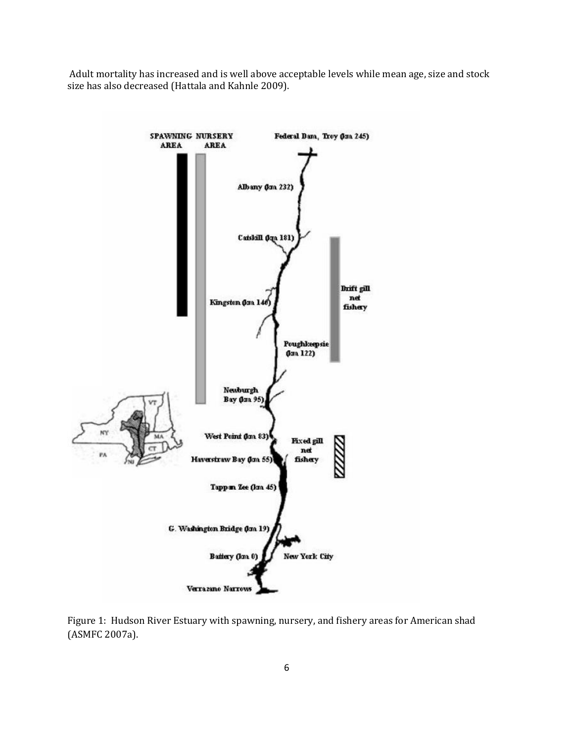Adult mortality has increased and is well above acceptable levels while mean age, size and stock size has also decreased (Hattala and Kahnle 2009).



Figure 1: Hudson River Estuary with spawning, nursery, and fishery areas for American shad (ASMFC 2007a).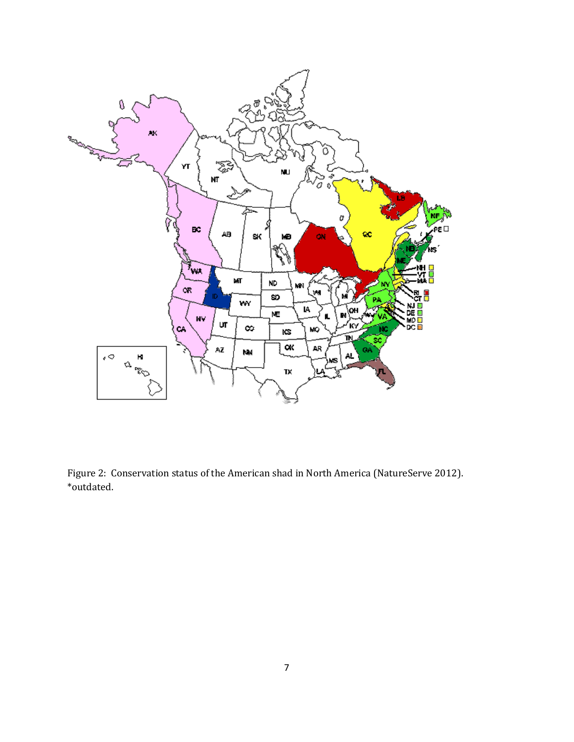

Figure 2: Conservation status of the American shad in North America (NatureServe 2012). \*outdated.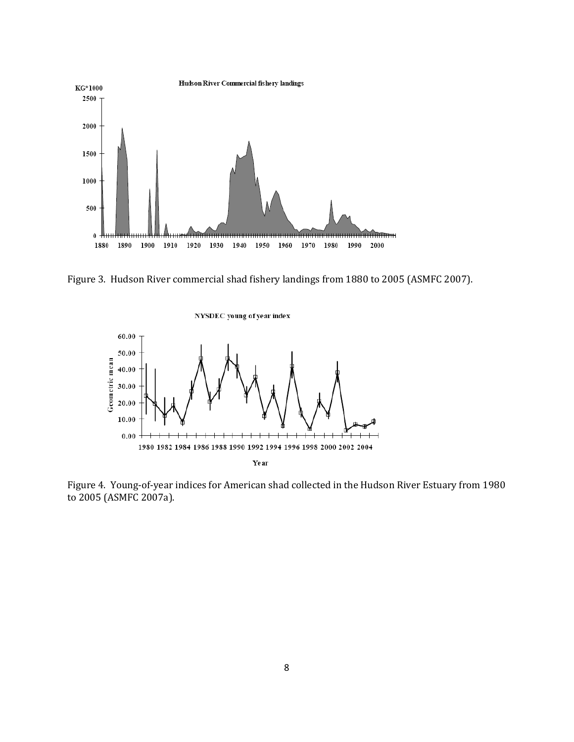



NYSDEC young of year index



Figure 4. Young-of-year indices for American shad collected in the Hudson River Estuary from 1980 to 2005 (ASMFC 2007a).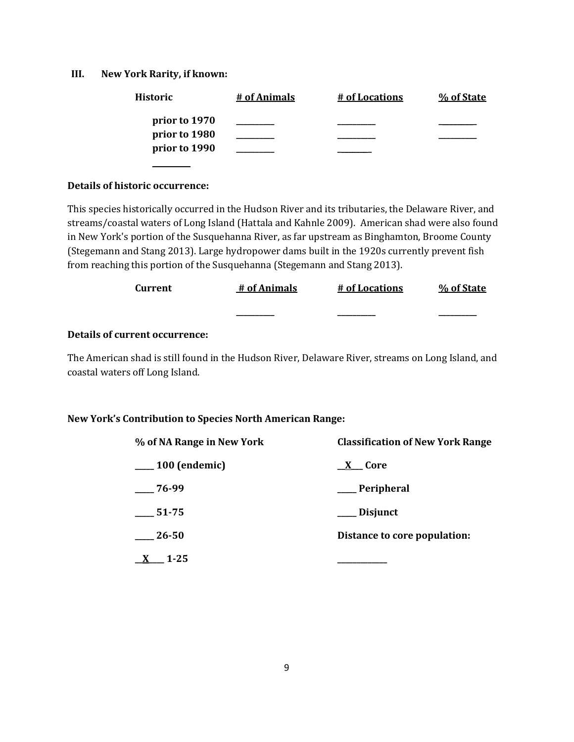### **III. New York Rarity, if known:**

| Historic      | # of Animals | # of Locations | % of State |
|---------------|--------------|----------------|------------|
| prior to 1970 |              |                |            |
| prior to 1980 |              |                |            |
| prior to 1990 |              |                |            |

#### **Details of historic occurrence:**

**\_\_**\_\_\_\_\_**\_\_\_**

This species historically occurred in the Hudson River and its tributaries, the Delaware River, and streams/coastal waters of Long Island (Hattala and Kahnle 2009). American shad were also found in New York's portion of the Susquehanna River, as far upstream as Binghamton, Broome County (Stegemann and Stang 2013). Large hydropower dams built in the 1920s currently prevent fish from reaching this portion of the Susquehanna (Stegemann and Stang 2013).

| Current                        | # of Animals | <u># of Locations</u> | % of State |
|--------------------------------|--------------|-----------------------|------------|
|                                |              |                       |            |
| Details of current occurrence: |              |                       |            |

The American shad is still found in the Hudson River, Delaware River, streams on Long Island, and coastal waters off Long Island.

# **New York's Contribution to Species North American Range:**

| % of NA Range in New York | <b>Classification of New York Range</b> |  |  |
|---------------------------|-----------------------------------------|--|--|
| $\frac{100}{2}$ (endemic) | <u>X</u> Core                           |  |  |
| $-76-99$                  | ___Peripheral                           |  |  |
| $\frac{1}{2}$ 51-75       | ___ Disjunct                            |  |  |
| 26-50                     | Distance to core population:            |  |  |
| $1 - 25$                  |                                         |  |  |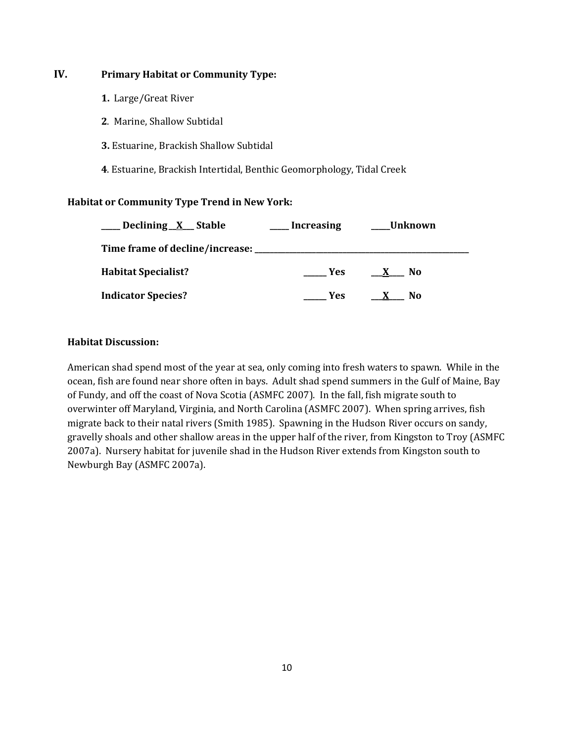# **IV. Primary Habitat or Community Type:**

- **1.** Large/Great River
- **2**. Marine, Shallow Subtidal
- **3.** Estuarine, Brackish Shallow Subtidal
- **4**. Estuarine, Brackish Intertidal, Benthic Geomorphology, Tidal Creek

# **Habitat or Community Type Trend in New York:**

| Declining X Stable         | <b>Increasing</b> | Unknown                        |  |
|----------------------------|-------------------|--------------------------------|--|
|                            |                   |                                |  |
| <b>Habitat Specialist?</b> | Yes.              | No.<br>$\mathbf{X}$            |  |
| <b>Indicator Species?</b>  | Yes.              | N <sub>0</sub><br>$\mathbf{X}$ |  |

# **Habitat Discussion:**

American shad spend most of the year at sea, only coming into fresh waters to spawn. While in the ocean, fish are found near shore often in bays. Adult shad spend summers in the Gulf of Maine, Bay of Fundy, and off the coast of Nova Scotia (ASMFC 2007). In the fall, fish migrate south to overwinter off Maryland, Virginia, and North Carolina (ASMFC 2007). When spring arrives, fish migrate back to their natal rivers (Smith 1985). Spawning in the Hudson River occurs on sandy, gravelly shoals and other shallow areas in the upper half of the river, from Kingston to Troy (ASMFC 2007a). Nursery habitat for juvenile shad in the Hudson River extends from Kingston south to Newburgh Bay (ASMFC 2007a).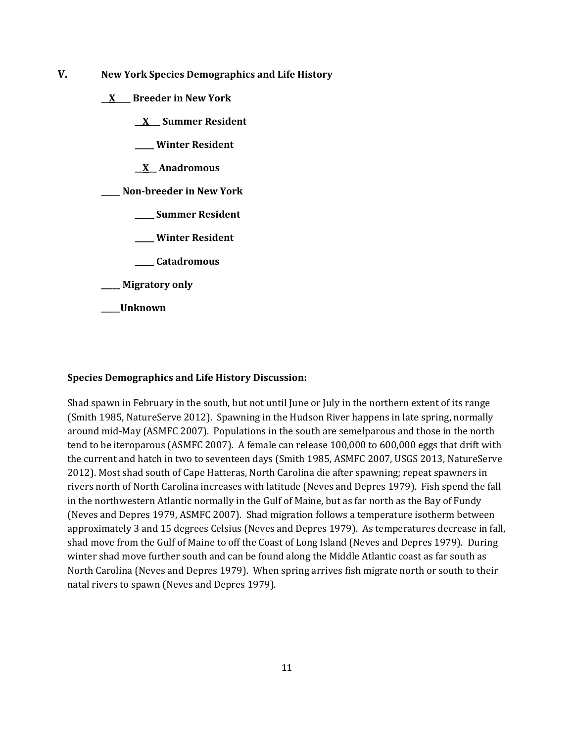- **V. New York Species Demographics and Life History**
	- **\_\_X\_\_\_\_ Breeder in New York**
		- **\_\_X\_\_\_ Summer Resident**
		- **\_\_\_\_\_ Winter Resident**
		- **\_\_X\_\_ Anadromous**

**\_\_\_\_\_ Non-breeder in New York**

- **\_\_\_\_\_ Summer Resident**
- **\_\_\_\_\_ Winter Resident**
- **\_\_\_\_\_ Catadromous**
- **\_\_\_\_\_ Migratory only**
- **\_\_\_\_\_Unknown**

#### **Species Demographics and Life History Discussion:**

Shad spawn in February in the south, but not until June or July in the northern extent of its range (Smith 1985, NatureServe 2012). Spawning in the Hudson River happens in late spring, normally around mid-May (ASMFC 2007). Populations in the south are semelparous and those in the north tend to be iteroparous (ASMFC 2007). A female can release 100,000 to 600,000 eggs that drift with the current and hatch in two to seventeen days (Smith 1985, ASMFC 2007, USGS 2013, NatureServe 2012). Most shad south of Cape Hatteras, North Carolina die after spawning; repeat spawners in rivers north of North Carolina increases with latitude (Neves and Depres 1979). Fish spend the fall in the northwestern Atlantic normally in the Gulf of Maine, but as far north as the Bay of Fundy (Neves and Depres 1979, ASMFC 2007). Shad migration follows a temperature isotherm between approximately 3 and 15 degrees Celsius (Neves and Depres 1979). As temperatures decrease in fall, shad move from the Gulf of Maine to off the Coast of Long Island (Neves and Depres 1979). During winter shad move further south and can be found along the Middle Atlantic coast as far south as North Carolina (Neves and Depres 1979). When spring arrives fish migrate north or south to their natal rivers to spawn (Neves and Depres 1979).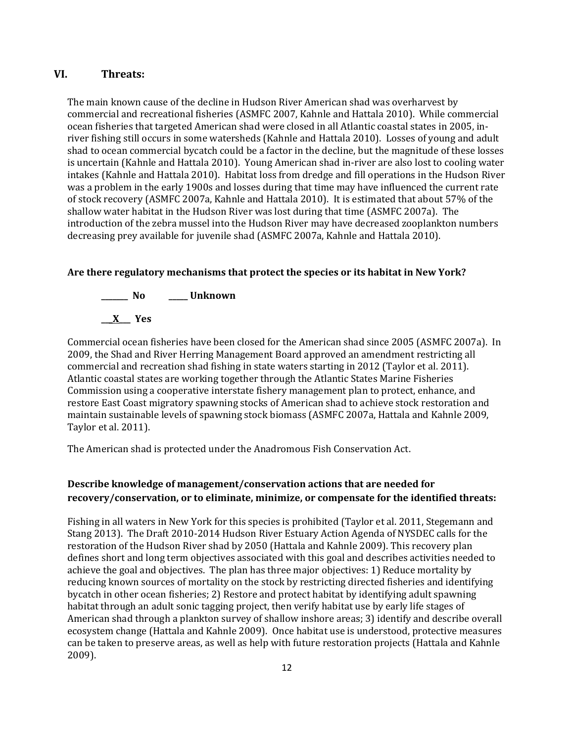# **VI. Threats:**

The main known cause of the decline in Hudson River American shad was overharvest by commercial and recreational fisheries (ASMFC 2007, Kahnle and Hattala 2010). While commercial ocean fisheries that targeted American shad were closed in all Atlantic coastal states in 2005, inriver fishing still occurs in some watersheds (Kahnle and Hattala 2010). Losses of young and adult shad to ocean commercial bycatch could be a factor in the decline, but the magnitude of these losses is uncertain (Kahnle and Hattala 2010). Young American shad in-river are also lost to cooling water intakes (Kahnle and Hattala 2010). Habitat loss from dredge and fill operations in the Hudson River was a problem in the early 1900s and losses during that time may have influenced the current rate of stock recovery (ASMFC 2007a, Kahnle and Hattala 2010). It is estimated that about 57% of the shallow water habitat in the Hudson River was lost during that time (ASMFC 2007a). The introduction of the zebra mussel into the Hudson River may have decreased zooplankton numbers decreasing prey available for juvenile shad (ASMFC 2007a, Kahnle and Hattala 2010).

# **Are there regulatory mechanisms that protect the species or its habitat in New York?**



Commercial ocean fisheries have been closed for the American shad since 2005 (ASMFC 2007a). In 2009, the Shad and River Herring Management Board approved an amendment restricting all commercial and recreation shad fishing in state waters starting in 2012 (Taylor et al. 2011). Atlantic coastal states are working together through the Atlantic States Marine Fisheries Commission using a cooperative interstate fishery management plan to protect, enhance, and restore East Coast migratory spawning stocks of American shad to achieve stock restoration and maintain sustainable levels of spawning stock biomass (ASMFC 2007a, Hattala and Kahnle 2009, Taylor et al. 2011).

The American shad is protected under the Anadromous Fish Conservation Act.

# **Describe knowledge of management/conservation actions that are needed for recovery/conservation, or to eliminate, minimize, or compensate for the identified threats:**

Fishing in all waters in New York for this species is prohibited (Taylor et al. 2011, Stegemann and Stang 2013). The Draft 2010-2014 Hudson River Estuary Action Agenda of NYSDEC calls for the restoration of the Hudson River shad by 2050 (Hattala and Kahnle 2009). This recovery plan defines short and long term objectives associated with this goal and describes activities needed to achieve the goal and objectives. The plan has three major objectives: 1) Reduce mortality by reducing known sources of mortality on the stock by restricting directed fisheries and identifying bycatch in other ocean fisheries; 2) Restore and protect habitat by identifying adult spawning habitat through an adult sonic tagging project, then verify habitat use by early life stages of American shad through a plankton survey of shallow inshore areas; 3) identify and describe overall ecosystem change (Hattala and Kahnle 2009). Once habitat use is understood, protective measures can be taken to preserve areas, as well as help with future restoration projects (Hattala and Kahnle 2009).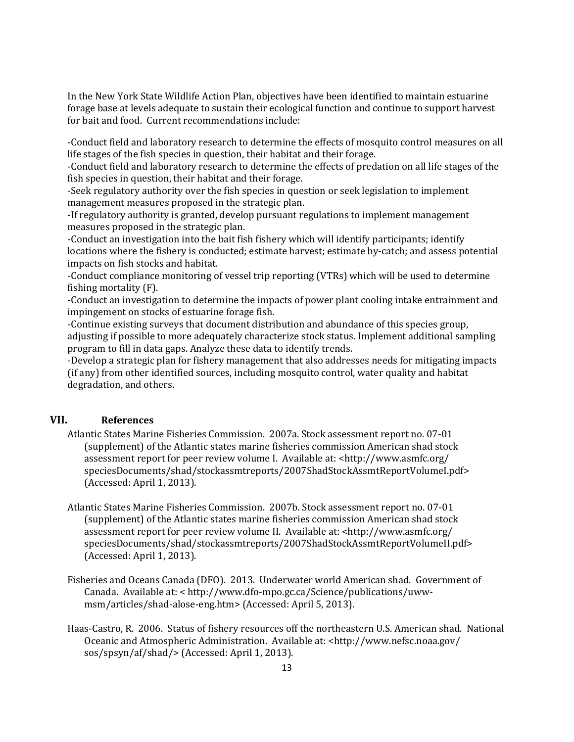In the New York State Wildlife Action Plan, objectives have been identified to maintain estuarine forage base at levels adequate to sustain their ecological function and continue to support harvest for bait and food. Current recommendations include:

-Conduct field and laboratory research to determine the effects of mosquito control measures on all life stages of the fish species in question, their habitat and their forage.

-Conduct field and laboratory research to determine the effects of predation on all life stages of the fish species in question, their habitat and their forage.

-Seek regulatory authority over the fish species in question or seek legislation to implement management measures proposed in the strategic plan.

-If regulatory authority is granted, develop pursuant regulations to implement management measures proposed in the strategic plan.

-Conduct an investigation into the bait fish fishery which will identify participants; identify locations where the fishery is conducted; estimate harvest; estimate by-catch; and assess potential impacts on fish stocks and habitat.

-Conduct compliance monitoring of vessel trip reporting (VTRs) which will be used to determine fishing mortality (F).

-Conduct an investigation to determine the impacts of power plant cooling intake entrainment and impingement on stocks of estuarine forage fish.

-Continue existing surveys that document distribution and abundance of this species group, adjusting if possible to more adequately characterize stock status. Implement additional sampling program to fill in data gaps. Analyze these data to identify trends.

-Develop a strategic plan for fishery management that also addresses needs for mitigating impacts (if any) from other identified sources, including mosquito control, water quality and habitat degradation, and others.

# **VII. References**

Atlantic States Marine Fisheries Commission. 2007a. Stock assessment report no. 07-01 (supplement) of the Atlantic states marine fisheries commission American shad stock assessment report for peer review volume I. Available at: <http://www.asmfc.org/ speciesDocuments/shad/stockassmtreports/2007ShadStockAssmtReportVolumeI.pdf> (Accessed: April 1, 2013).

- Atlantic States Marine Fisheries Commission. 2007b. Stock assessment report no. 07-01 (supplement) of the Atlantic states marine fisheries commission American shad stock assessment report for peer review volume II. Available at: <http://www.asmfc.org/ speciesDocuments/shad/stockassmtreports/2007ShadStockAssmtReportVolumeII.pdf> (Accessed: April 1, 2013).
- Fisheries and Oceans Canada (DFO). 2013. Underwater world American shad. Government of Canada. Available at: < http://www.dfo-mpo.gc.ca/Science/publications/uwwmsm/articles/shad-alose-eng.htm> (Accessed: April 5, 2013).
- Haas-Castro, R. 2006. Status of fishery resources off the northeastern U.S. American shad. National Oceanic and Atmospheric Administration. Available at: <http://www.nefsc.noaa.gov/ sos/spsyn/af/shad/> (Accessed: April 1, 2013).